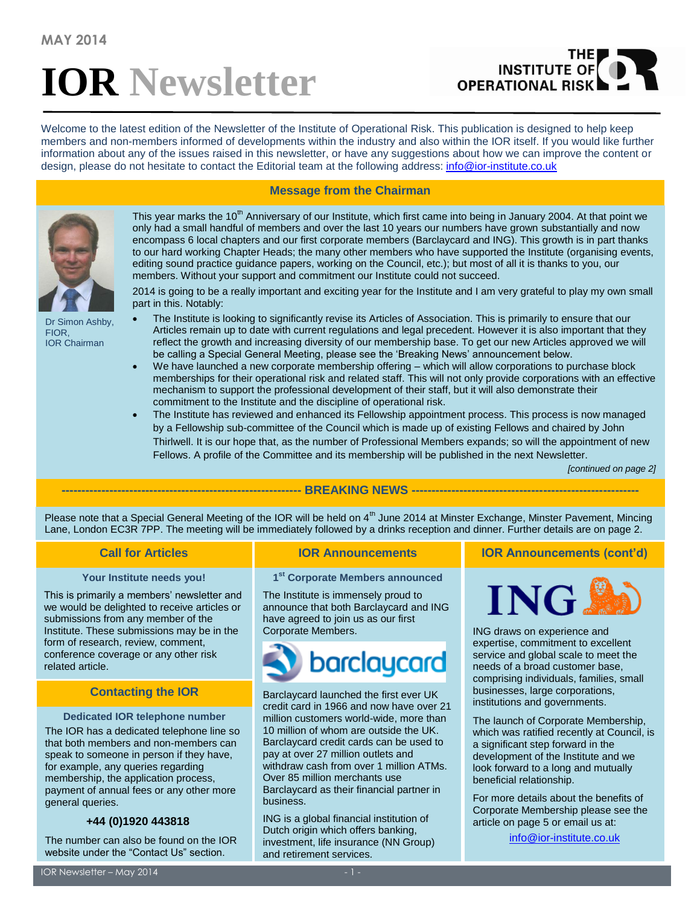# **IOR Newsletter**

# THE<br>INSTITUTE OF **OPERATIONAL RISK**

Welcome to the latest edition of the Newsletter of the Institute of Operational Risk. This publication is designed to help keep members and non-members informed of developments within the industry and also within the IOR itself. If you would like further information about any of the issues raised in this newsletter, or have any suggestions about how we can improve the content or design, please do not hesitate to contact the Editorial team at the following address: [info@ior-institute.co.uk](mailto:info@ior-institute.co.uk)



Dr Simon Ashby, FIOR, IOR Chairman

# **Message from the Chairman**

This year marks the 10<sup>th</sup> Anniversary of our Institute, which first came into being in January 2004. At that point we only had a small handful of members and over the last 10 years our numbers have grown substantially and now encompass 6 local chapters and our first corporate members (Barclaycard and ING). This growth is in part thanks to our hard working Chapter Heads; the many other members who have supported the Institute (organising events, editing sound practice guidance papers, working on the Council, etc.); but most of all it is thanks to you, our members. Without your support and commitment our Institute could not succeed.

2014 is going to be a really important and exciting year for the Institute and I am very grateful to play my own small part in this. Notably:

- The Institute is looking to significantly revise its Articles of Association. This is primarily to ensure that our Articles remain up to date with current regulations and legal precedent. However it is also important that they reflect the growth and increasing diversity of our membership base. To get our new Articles approved we will be calling a Special General Meeting, please see the 'Breaking News' announcement below.
- We have launched a new corporate membership offering which will allow corporations to purchase block memberships for their operational risk and related staff. This will not only provide corporations with an effective mechanism to support the professional development of their staff, but it will also demonstrate their commitment to the Institute and the discipline of operational risk.
- The Institute has reviewed and enhanced its Fellowship appointment process. This process is now managed by a Fellowship sub-committee of the Council which is made up of existing Fellows and chaired by John Thirlwell. It is our hope that, as the number of Professional Members expands; so will the appointment of new Fellows. A profile of the Committee and its membership will be published in the next Newsletter.

*[continued on page 2]*

# **------------------------------------------------------------ BREAKING NEWS ---------------------------------------------------------**

Please note that a Special General Meeting of the IOR will be held on  $4<sup>th</sup>$  June 2014 at Minster Exchange, Minster Pavement, Mincing Lane, London EC3R 7PP. The meeting will be immediately followed by a drinks reception and dinner. Further details are on page 2.

# **Your Institute needs you!**

This is primarily a members' newsletter and we would be delighted to receive articles or submissions from any member of the Institute. These submissions may be in the form of research, review, comment, conference coverage or any other risk related article.

# **Contacting the IOR**

# **Dedicated IOR telephone number**

The IOR has a dedicated telephone line so that both members and non-members can speak to someone in person if they have, for example, any queries regarding membership, the application process, payment of annual fees or any other more general queries.

# **+44 (0)1920 443818**

The number can also be found on the IOR website under the "Contact Us" section.

**1 st Corporate Members announced**

The Institute is immensely proud to announce that both Barclaycard and ING have agreed to join us as our first Corporate Members.



Barclaycard launched the first ever UK credit card in 1966 and now have over 21 million customers world-wide, more than 10 million of whom are outside the UK. Barclaycard credit cards can be used to pay at over 27 million outlets and withdraw cash from over 1 million ATMs. Over 85 million merchants use Barclaycard as their financial partner in business.

ING is a global financial institution of Dutch origin which offers banking, investment, life insurance (NN Group) and retirement services.

**Call for Articles IOR Announcements IOR Announcements (cont'd)**



ING draws on experience and expertise, commitment to excellent service and global scale to meet the needs of a broad customer base, comprising individuals, families, small businesses, large corporations, institutions and governments.

The launch of Corporate Membership, which was ratified recently at Council, is a significant step forward in the development of the Institute and we look forward to a long and mutually beneficial relationship.

For more details about the benefits of Corporate Membership please see the article on page 5 or email us at:

[info@ior-institute.co.uk](mailto:info@ior-institute.co.uk)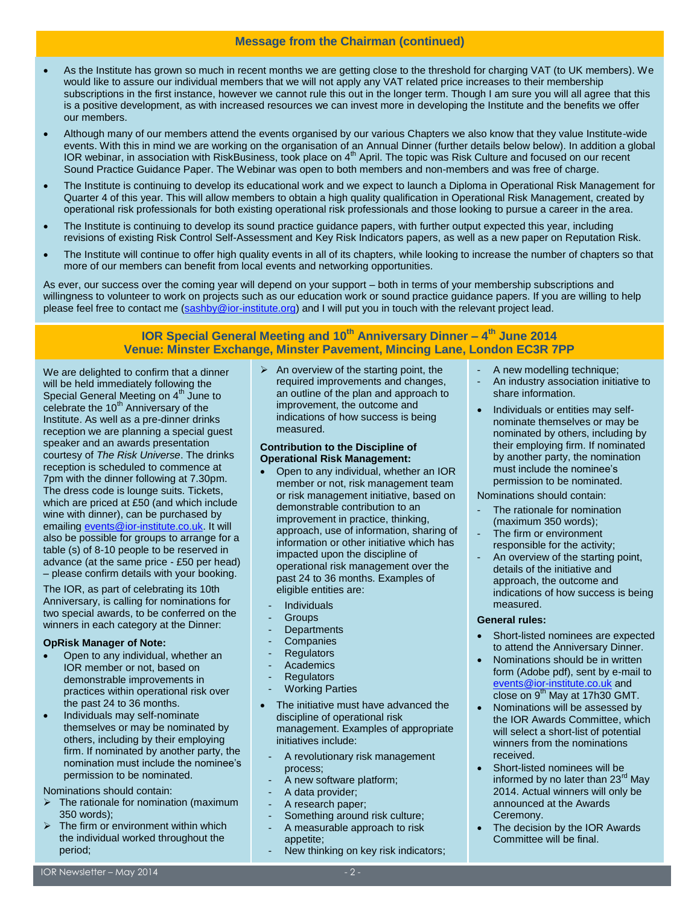# **Message from the Chairman (continued)**

- As the Institute has grown so much in recent months we are getting close to the threshold for charging VAT (to UK members). We would like to assure our individual members that we will not apply any VAT related price increases to their membership subscriptions in the first instance, however we cannot rule this out in the longer term. Though I am sure you will all agree that this is a positive development, as with increased resources we can invest more in developing the Institute and the benefits we offer our members.
- Although many of our members attend the events organised by our various Chapters we also know that they value Institute-wide events. With this in mind we are working on the organisation of an Annual Dinner (further details below below). In addition a global IOR webinar, in association with RiskBusiness, took place on 4<sup>th</sup> April. The topic was Risk Culture and focused on our recent Sound Practice Guidance Paper. The Webinar was open to both members and non-members and was free of charge.
- The Institute is continuing to develop its educational work and we expect to launch a Diploma in Operational Risk Management for Quarter 4 of this year. This will allow members to obtain a high quality qualification in Operational Risk Management, created by operational risk professionals for both existing operational risk professionals and those looking to pursue a career in the area.
- The Institute is continuing to develop its sound practice guidance papers, with further output expected this year, including revisions of existing Risk Control Self-Assessment and Key Risk Indicators papers, as well as a new paper on Reputation Risk.
- The Institute will continue to offer high quality events in all of its chapters, while looking to increase the number of chapters so that more of our members can benefit from local events and networking opportunities.

As ever, our success over the coming year will depend on your support – both in terms of your membership subscriptions and willingness to volunteer to work on projects such as our education work or sound practice guidance papers. If you are willing to help please feel free to contact me [\(sashby@ior-institute.org\)](mailto:sashby@ior-institute.org) and I will put you in touch with the relevant project lead.

# **IOR Special General Meeting and 10th Anniversary Dinner – 4 th June 2014 Venue: Minster Exchange, Minster Pavement, Mincing Lane, London EC3R 7PP**

We are delighted to confirm that a dinner will be held immediately following the Special General Meeting on 4<sup>th</sup> June to celebrate the  $10<sup>th</sup>$  Anniversary of the Institute. As well as a pre-dinner drinks reception we are planning a special guest speaker and an awards presentation courtesy of *The Risk Universe*. The drinks reception is scheduled to commence at 7pm with the dinner following at 7.30pm. The dress code is lounge suits. Tickets, which are priced at £50 (and which include wine with dinner), can be purchased by emailing [events@ior-institute.co.uk.](mailto:events@ior-institute.co.uk) It will also be possible for groups to arrange for a table (s) of 8-10 people to be reserved in advance (at the same price - £50 per head) – please confirm details with your booking.

The IOR, as part of celebrating its 10th Anniversary, is calling for nominations for two special awards, to be conferred on the winners in each category at the Dinner:

# **OpRisk Manager of Note:**

- Open to any individual, whether an IOR member or not, based on demonstrable improvements in practices within operational risk over the past 24 to 36 months.
- Individuals may self-nominate themselves or may be nominated by others, including by their employing firm. If nominated by another party, the nomination must include the nominee's permission to be nominated.

# Nominations should contain:

- The rationale for nomination (maximum 350 words);
- The firm or environment within which the individual worked throughout the period;

 $\triangleright$  An overview of the starting point, the required improvements and changes, an outline of the plan and approach to improvement, the outcome and indications of how success is being measured.

# **Contribution to the Discipline of Operational Risk Management:**

- Open to any individual, whether an IOR member or not, risk management team or risk management initiative, based on demonstrable contribution to an improvement in practice, thinking, approach, use of information, sharing of information or other initiative which has impacted upon the discipline of operational risk management over the past 24 to 36 months. Examples of eligible entities are:
- **Individuals**
- **Groups**
- **Departments**
- **Companies**
- **Regulators**
- **Academics**
- **Regulators**
- **Working Parties**
- The initiative must have advanced the discipline of operational risk management. Examples of appropriate initiatives include:
	- A revolutionary risk management process;
	- A new software platform;
	- A data provider;
	- A research paper:
	- Something around risk culture:
	- A measurable approach to risk appetite;
	- New thinking on key risk indicators;
- A new modelling technique;
- An industry association initiative to share information.
- Individuals or entities may selfnominate themselves or may be nominated by others, including by their employing firm. If nominated by another party, the nomination must include the nominee's permission to be nominated.

Nominations should contain:

- The rationale for nomination (maximum 350 words);
- The firm or environment responsible for the activity;
- An overview of the starting point, details of the initiative and approach, the outcome and indications of how success is being measured.

# **General rules:**

- Short-listed nominees are expected to attend the Anniversary Dinner.
- Nominations should be in written form (Adobe pdf), sent by e-mail to [events@ior-institute.co.uk](mailto:events@ior-institute.co.uk) and close on  $9<sup>th</sup>$  May at 17h30 GMT.
- Nominations will be assessed by the IOR Awards Committee, which will select a short-list of potential winners from the nominations received.
- Short-listed nominees will be informed by no later than 23<sup>rd</sup> May 2014. Actual winners will only be announced at the Awards Ceremony.
- The decision by the IOR Awards Committee will be final.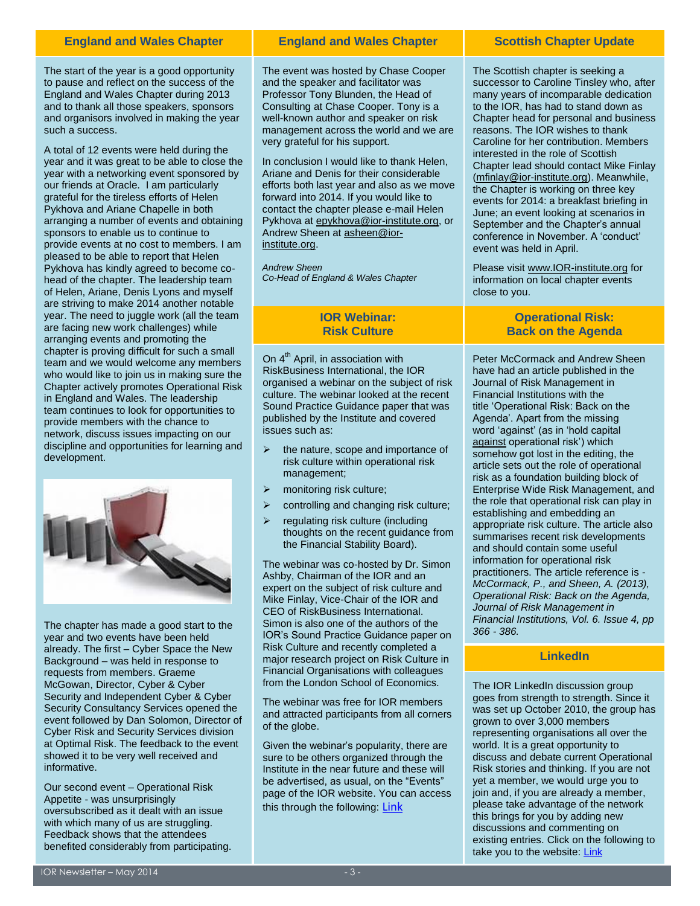The start of the year is a good opportunity to pause and reflect on the success of the England and Wales Chapter during 2013 and to thank all those speakers, sponsors and organisors involved in making the year such a success.

A total of 12 events were held during the year and it was great to be able to close the year with a networking event sponsored by our friends at Oracle. I am particularly grateful for the tireless efforts of Helen Pykhova and Ariane Chapelle in both arranging a number of events and obtaining sponsors to enable us to continue to provide events at no cost to members. I am pleased to be able to report that Helen Pykhova has kindly agreed to become cohead of the chapter. The leadership team of Helen, Ariane, Denis Lyons and myself are striving to make 2014 another notable year. The need to juggle work (all the team are facing new work challenges) while arranging events and promoting the chapter is proving difficult for such a small team and we would welcome any members who would like to join us in making sure the Chapter actively promotes Operational Risk in England and Wales. The leadership team continues to look for opportunities to provide members with the chance to network, discuss issues impacting on our discipline and opportunities for learning and development.



The chapter has made a good start to the year and two events have been held already. The first – Cyber Space the New Background – was held in response to requests from members. Graeme McGowan, Director, Cyber & Cyber Security and Independent Cyber & Cyber Security Consultancy Services opened the event followed by Dan Solomon, Director of Cyber Risk and Security Services division at Optimal Risk. The feedback to the event showed it to be very well received and informative.

Our second event – Operational Risk Appetite - was unsurprisingly oversubscribed as it dealt with an issue with which many of us are struggling. Feedback shows that the attendees benefited considerably from participating.

## **England and Wales Chapter Superify Chapter Scottish Chapter Update Chapter Update Update England and Wales Chapter**

The event was hosted by Chase Cooper and the speaker and facilitator was Professor Tony Blunden, the Head of Consulting at Chase Cooper. Tony is a well-known author and speaker on risk management across the world and we are very grateful for his support.

In conclusion I would like to thank Helen, Ariane and Denis for their considerable efforts both last year and also as we move forward into 2014. If you would like to contact the chapter please e-mail Helen Pykhova a[t epykhova@ior-institute.org,](mailto:epykhova@ior-institute.org) or Andrew Sheen at [asheen@ior](mailto:asheen@ior-institute.org)[institute.org.](mailto:asheen@ior-institute.org)

*Andrew Sheen Co-Head of England & Wales Chapter*

# **IOR Webinar: Risk Culture**

On 4<sup>th</sup> April, in association with RiskBusiness International, the IOR organised a webinar on the subject of risk culture. The webinar looked at the recent Sound Practice Guidance paper that was published by the Institute and covered issues such as:

- the nature, scope and importance of risk culture within operational risk management;
- $\triangleright$  monitoring risk culture;
- controlling and changing risk culture;
- regulating risk culture (including thoughts on the recent guidance from the Financial Stability Board).

The webinar was co-hosted by Dr. Simon Ashby, Chairman of the IOR and an expert on the subject of risk culture and Mike Finlay, Vice-Chair of the IOR and CEO of RiskBusiness International. Simon is also one of the authors of the IOR's Sound Practice Guidance paper on Risk Culture and recently completed a major research project on Risk Culture in Financial Organisations with colleagues from the London School of Economics.

The webinar was free for IOR members and attracted participants from all corners of the globe.

Given the webinar's popularity, there are sure to be others organized through the Institute in the near future and these will be advertised, as usual, on the "Events" page of the IOR website. You can access this through the following: [Link](https://www.ior-institute.org/ior-events/upcoming-events)

The Scottish chapter is seeking a successor to Caroline Tinsley who, after many years of incomparable dedication to the IOR, has had to stand down as Chapter head for personal and business reasons. The IOR wishes to thank Caroline for her contribution. Members interested in the role of Scottish Chapter lead should contact Mike Finlay [\(mfinlay@ior-institute.org\)](mailto:mfinlay@ior-institute.org). Meanwhile, the Chapter is working on three key events for 2014: a breakfast briefing in June; an event looking at scenarios in September and the Chapter's annual conference in November. A 'conduct' event was held in April.

Please visi[t www.IOR-institute.org](http://www.ior-institute.org/) for information on local chapter events close to you.

# **Operational Risk: Back on the Agenda**

Peter McCormack and Andrew Sheen have had an article published in the Journal of Risk Management in Financial Institutions with the title 'Operational Risk: Back on the Agenda'. Apart from the missing word 'against' (as in 'hold capital against operational risk') which somehow got lost in the editing, the article sets out the role of operational risk as a foundation building block of Enterprise Wide Risk Management, and the role that operational risk can play in establishing and embedding an appropriate risk culture. The article also summarises recent risk developments and should contain some useful information for operational risk practitioners. The article reference is - *McCormack, P., and Sheen, A. (2013), Operational Risk: Back on the Agenda, Journal of Risk Management in Financial Institutions, Vol. 6. Issue 4, pp 366 - 386.*

# **LinkedIn**

The IOR LinkedIn discussion group goes from strength to strength. Since it was set up October 2010, the group has grown to over 3,000 members representing organisations all over the world. It is a great opportunity to discuss and debate current Operational Risk stories and thinking. If you are not yet a member, we would urge you to join and, if you are already a member, please take advantage of the network this brings for you by adding new discussions and commenting on existing entries. Click on the following to take you to the website[: Link](http://www.linkedin.com/groups?gid=3511716)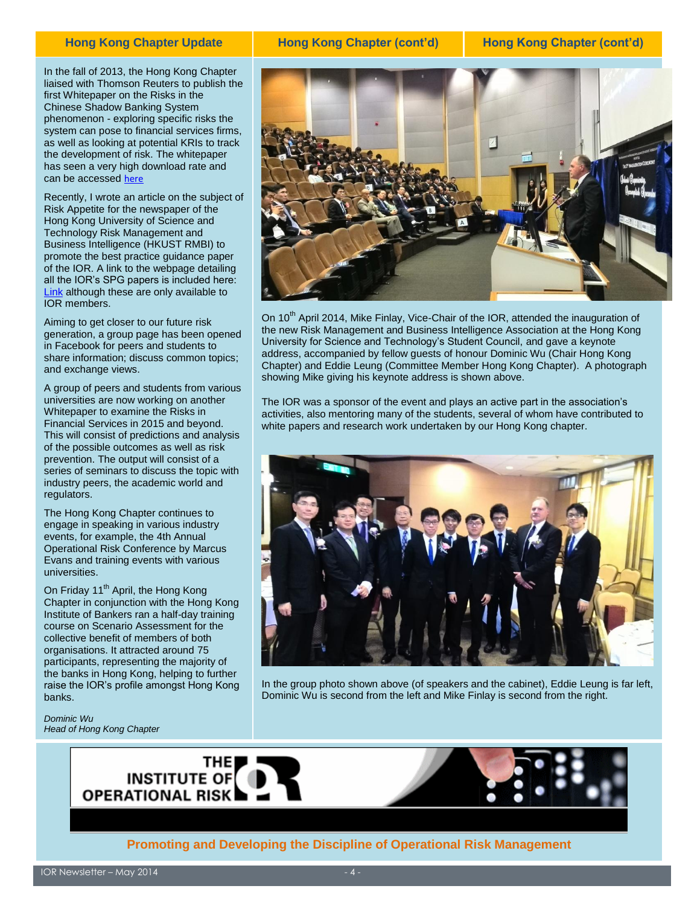# **Hong Kong Chapter Update**

In the fall of 2013, the Hong Kong Chapter liaised with Thomson Reuters to publish the first Whitepaper on the Risks in the Chinese Shadow Banking System phenomenon - exploring specific risks the system can pose to financial services firms, as well as looking at potential KRIs to track the development of risk. The whitepaper has seen a very high download rate and can be accessed [here](http://accelus.thomsonreuters.com/whitepaper/chinese-shadow-banking-understanding-kris-and-risk-scenarios)

Recently, I wrote an article on the subject of Risk Appetite for the newspaper of the Hong Kong University of Science and Technology Risk Management and Business Intelligence (HKUST RMBI) to promote the best practice guidance paper of the IOR. A link to the webpage detailing all the IOR's SPG papers is included here: **[Link](https://www.ior-institute.org/sound-practice-guidance)** although these are only available to IOR members.

Aiming to get closer to our future risk generation, a group page has been opened in Facebook for peers and students to share information; discuss common topics; and exchange views.

A group of peers and students from various universities are now working on another Whitepaper to examine the Risks in Financial Services in 2015 and beyond. This will consist of predictions and analysis of the possible outcomes as well as risk prevention. The output will consist of a series of seminars to discuss the topic with industry peers, the academic world and regulators.

The Hong Kong Chapter continues to engage in speaking in various industry events, for example, the 4th Annual Operational Risk Conference by Marcus Evans and training events with various universities.

On Friday 11<sup>th</sup> April, the Hong Kong Chapter in conjunction with the Hong Kong Institute of Bankers ran a half-day training course on Scenario Assessment for the collective benefit of members of both organisations. It attracted around 75 participants, representing the majority of the banks in Hong Kong, helping to further raise the IOR's profile amongst Hong Kong banks.

*Dominic Wu Head of Hong Kong Chapter*



**Hong Kong Chapter (cont'd) Hong Kong Chapter (cont'd)**



On  $10^{th}$  April 2014, Mike Finlay, Vice-Chair of the IOR, attended the inauguration of the new Risk Management and Business Intelligence Association at the Hong Kong University for Science and Technology's Student Council, and gave a keynote address, accompanied by fellow guests of honour Dominic Wu (Chair Hong Kong Chapter) and Eddie Leung (Committee Member Hong Kong Chapter). A photograph showing Mike giving his keynote address is shown above.

The IOR was a sponsor of the event and plays an active part in the association's activities, also mentoring many of the students, several of whom have contributed to white papers and research work undertaken by our Hong Kong chapter.



In the group photo shown above (of speakers and the cabinet), Eddie Leung is far left, Dominic Wu is second from the left and Mike Finlay is second from the right.





# **Promoting and Developing the Discipline of Operational Risk Management**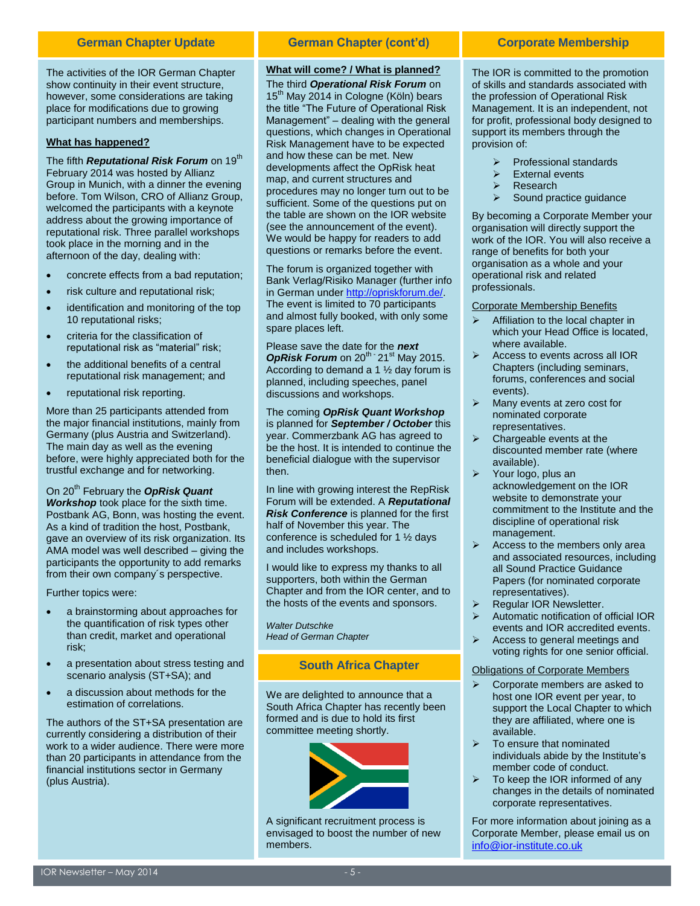The activities of the IOR German Chapter show continuity in their event structure, however, some considerations are taking place for modifications due to growing participant numbers and memberships.

# **What has happened?**

The fifth *Reputational Risk Forum* on 19<sup>th</sup> February 2014 was hosted by Allianz Group in Munich, with a dinner the evening before. Tom Wilson, CRO of Allianz Group, welcomed the participants with a keynote address about the growing importance of reputational risk. Three parallel workshops took place in the morning and in the afternoon of the day, dealing with:

- concrete effects from a bad reputation;
- risk culture and reputational risk;
- identification and monitoring of the top 10 reputational risks;
- criteria for the classification of reputational risk as "material" risk;
- the additional benefits of a central reputational risk management; and
- reputational risk reporting.

More than 25 participants attended from the major financial institutions, mainly from Germany (plus Austria and Switzerland). The main day as well as the evening before, were highly appreciated both for the trustful exchange and for networking.

On 20th February the *OpRisk Quant Workshop* took place for the sixth time. Postbank AG, Bonn, was hosting the event. As a kind of tradition the host, Postbank, gave an overview of its risk organization. Its AMA model was well described – giving the participants the opportunity to add remarks from their own company´s perspective.

Further topics were:

- a brainstorming about approaches for the quantification of risk types other than credit, market and operational risk;
- a presentation about stress testing and scenario analysis (ST+SA); and
- a discussion about methods for the estimation of correlations.

The authors of the ST+SA presentation are currently considering a distribution of their work to a wider audience. There were more than 20 participants in attendance from the financial institutions sector in Germany (plus Austria).

# **German Chapter Update Corporate Membership German Chapter (cont'd)**

# **What will come? / What is planned?**

The third *Operational Risk Forum* on  $15<sup>th</sup>$  May 2014 in Cologne (Köln) bears the title "The Future of Operational Risk Management" – dealing with the general questions, which changes in Operational Risk Management have to be expected and how these can be met. New developments affect the OpRisk heat map, and current structures and procedures may no longer turn out to be sufficient. Some of the questions put on the table are shown on the IOR website (see the announcement of the event). We would be happy for readers to add questions or remarks before the event.

The forum is organized together with Bank Verlag/Risiko Manager (further info in German under [http://opriskforum.de/.](http://opriskforum.de/) The event is limited to 70 participants and almost fully booked, with only some spare places left.

Please save the date for the *next*  OpRisk Forum on 20<sup>th -</sup> 21<sup>st</sup> May 2015. According to demand a 1 ½ day forum is planned, including speeches, panel discussions and workshops.

The coming *OpRisk Quant Workshop* is planned for *September / October* this year. Commerzbank AG has agreed to be the host. It is intended to continue the beneficial dialogue with the supervisor then.

In line with growing interest the RepRisk Forum will be extended. A *Reputational Risk Conference* is planned for the first half of November this year. The conference is scheduled for 1 ½ days and includes workshops.

I would like to express my thanks to all supporters, both within the German Chapter and from the IOR center, and to the hosts of the events and sponsors.

*Walter Dutschke Head of German Chapter*

# **South Africa Chapter**

We are delighted to announce that a South Africa Chapter has recently been formed and is due to hold its first committee meeting shortly.



A significant recruitment process is envisaged to boost the number of new members.

The IOR is committed to the promotion of skills and standards associated with the profession of Operational Risk Management. It is an independent, not for profit, professional body designed to support its members through the provision of:

- Professional standards
- External events
- Research
- Sound practice guidance

By becoming a Corporate Member your organisation will directly support the work of the IOR. You will also receive a range of benefits for both your organisation as a whole and your operational risk and related professionals.

# Corporate Membership Benefits

- Affiliation to the local chapter in which your Head Office is located, where available.
- Access to events across all IOR Chapters (including seminars, forums, conferences and social events).
- Many events at zero cost for nominated corporate representatives.
- $\triangleright$  Chargeable events at the discounted member rate (where available).
- $\triangleright$  Your logo, plus an acknowledgement on the IOR website to demonstrate your commitment to the Institute and the discipline of operational risk management.
- $\triangleright$  Access to the members only area and associated resources, including all Sound Practice Guidance Papers (for nominated corporate representatives).
- Regular IOR Newsletter.
- Automatic notification of official IOR events and IOR accredited events.
- $\triangleright$  Access to general meetings and voting rights for one senior official.

# Obligations of Corporate Members

- Corporate members are asked to host one IOR event per year, to support the Local Chapter to which they are affiliated, where one is available.
- $\triangleright$  To ensure that nominated individuals abide by the Institute's member code of conduct.
- $\triangleright$  To keep the IOR informed of any changes in the details of nominated corporate representatives.

For more information about joining as a Corporate Member, please email us on [info@ior-institute.co.uk](mailto:info@ior-institute.co.uk)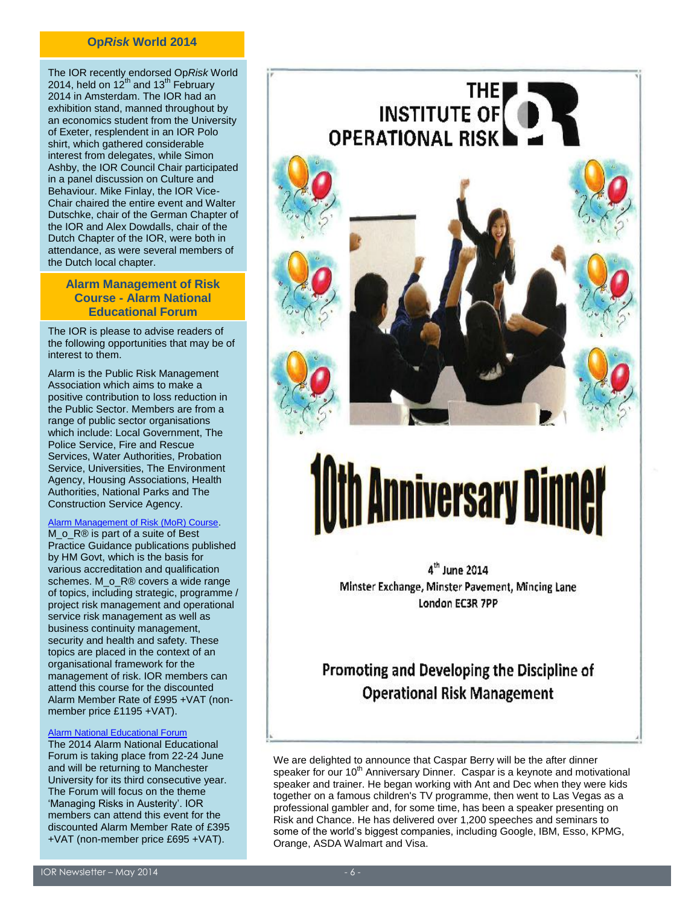# **Op***Risk* **World 2014**

The IOR recently endorsed Op*Risk* World 2014, held on 12<sup>th</sup> and 13<sup>th</sup> February 2014 in Amsterdam. The IOR had an exhibition stand, manned throughout by an economics student from the University of Exeter, resplendent in an IOR Polo shirt, which gathered considerable interest from delegates, while Simon Ashby, the IOR Council Chair participated in a panel discussion on Culture and Behaviour. Mike Finlay, the IOR Vice-Chair chaired the entire event and Walter Dutschke, chair of the German Chapter of the IOR and Alex Dowdalls, chair of the Dutch Chapter of the IOR, were both in attendance, as were several members of the Dutch local chapter.

# **Alarm Management of Risk Course - Alarm National Educational Forum**

The IOR is please to advise readers of the following opportunities that may be of interest to them.

Alarm is the Public Risk Management Association which aims to make a positive contribution to loss reduction in the Public Sector. Members are from a range of public sector organisations which include: Local Government, The Police Service, Fire and Rescue Services, Water Authorities, Probation Service, Universities, The Environment Agency, Housing Associations, Health Authorities, National Parks and The Construction Service Agency.

# [Alarm Management of Risk \(MoR\) Course](http://www.alarm-uk.org/knowledge-bank/education/mor-courses).

M\_o\_R® is part of a suite of Best Practice Guidance publications published by HM Govt, which is the basis for various accreditation and qualification schemes. M\_o\_R® covers a wide range of topics, including strategic, programme / project risk management and operational service risk management as well as business continuity management, security and health and safety. These topics are placed in the context of an organisational framework for the management of risk. IOR members can attend this course for the discounted Alarm Member Rate of £995 +VAT (nonmember price £1195 +VAT).

## [Alarm National Educational Forum](http://www.alarm-uk.org/events/2014-forum)

The 2014 Alarm National Educational Forum is taking place from 22-24 June and will be returning to Manchester University for its third consecutive year. The Forum will focus on the theme 'Managing Risks in Austerity'. IOR members can attend this event for the discounted Alarm Member Rate of £395 +VAT (non-member price £695 +VAT).



**THE** 

**INSTITUTE OF** 

# **Anniversary Dinner**

4<sup>th</sup> June 2014 Minster Exchange, Minster Pavement, Mincing Lane London EC3R 7PP

# Promoting and Developing the Discipline of **Operational Risk Management**

We are delighted to announce that Caspar Berry will be the after dinner speaker for our 10<sup>th</sup> Anniversary Dinner. Caspar is a keynote and motivational speaker and trainer. He began working with Ant and Dec when they were kids together on a famous children's TV programme, then went to Las Vegas as a professional gambler and, for some time, has been a speaker presenting on Risk and Chance. He has delivered over 1,200 speeches and seminars to some of the world's biggest companies, including Google, IBM, Esso, KPMG, Orange, ASDA Walmart and Visa.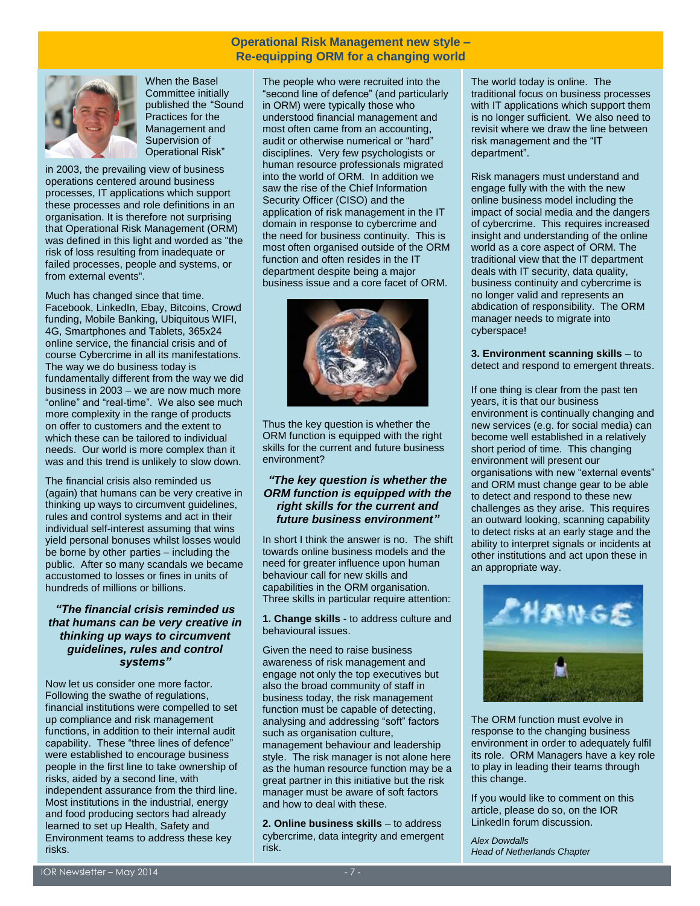# **Operational Risk Management new style – Re-equipping ORM for a changing world**



When the Basel Committee initially published the "Sound Practices for the Management and Supervision of Operational Risk"

in 2003, the prevailing view of business operations centered around business processes, IT applications which support these processes and role definitions in an organisation. It is therefore not surprising that Operational Risk Management (ORM) was defined in this light and worded as "the risk of loss resulting from inadequate or failed processes, people and systems, or from external events".

Much has changed since that time. Facebook, LinkedIn, Ebay, Bitcoins, Crowd funding, Mobile Banking, Ubiquitous WIFI, 4G, Smartphones and Tablets, 365x24 online service, the financial crisis and of course Cybercrime in all its manifestations. The way we do business today is fundamentally different from the way we did business in 2003 – we are now much more "online" and "real-time". We also see much more complexity in the range of products on offer to customers and the extent to which these can be tailored to individual needs. Our world is more complex than it was and this trend is unlikely to slow down.

The financial crisis also reminded us (again) that humans can be very creative in thinking up ways to circumvent guidelines, rules and control systems and act in their individual self-interest assuming that wins yield personal bonuses whilst losses would be borne by other parties – including the public. After so many scandals we became accustomed to losses or fines in units of hundreds of millions or billions.

# *"The financial crisis reminded us that humans can be very creative in thinking up ways to circumvent guidelines, rules and control systems"*

Now let us consider one more factor. Following the swathe of regulations, financial institutions were compelled to set up compliance and risk management functions, in addition to their internal audit capability. These "three lines of defence" were established to encourage business people in the first line to take ownership of risks, aided by a second line, with independent assurance from the third line. Most institutions in the industrial, energy and food producing sectors had already learned to set up Health, Safety and Environment teams to address these key risks.

The people who were recruited into the "second line of defence" (and particularly in ORM) were typically those who understood financial management and most often came from an accounting, audit or otherwise numerical or "hard" disciplines. Very few psychologists or human resource professionals migrated into the world of ORM. In addition we saw the rise of the Chief Information Security Officer (CISO) and the application of risk management in the IT domain in response to cybercrime and the need for business continuity. This is most often organised outside of the ORM function and often resides in the IT department despite being a major business issue and a core facet of ORM.



Thus the key question is whether the ORM function is equipped with the right skills for the current and future business environment?

# *"The key question is whether the ORM function is equipped with the right skills for the current and future business environment"*

In short I think the answer is no. The shift towards online business models and the need for greater influence upon human behaviour call for new skills and capabilities in the ORM organisation. Three skills in particular require attention:

**1. Change skills** - to address culture and behavioural issues.

Given the need to raise business awareness of risk management and engage not only the top executives but also the broad community of staff in business today, the risk management function must be capable of detecting, analysing and addressing "soft" factors such as organisation culture, management behaviour and leadership style. The risk manager is not alone here as the human resource function may be a great partner in this initiative but the risk manager must be aware of soft factors and how to deal with these.

**2. Online business skills** – to address cybercrime, data integrity and emergent risk.

The world today is online. The traditional focus on business processes with IT applications which support them is no longer sufficient. We also need to revisit where we draw the line between risk management and the "IT department".

Risk managers must understand and engage fully with the with the new online business model including the impact of social media and the dangers of cybercrime. This requires increased insight and understanding of the online world as a core aspect of ORM. The traditional view that the IT department deals with IT security, data quality, business continuity and cybercrime is no longer valid and represents an abdication of responsibility. The ORM manager needs to migrate into cyberspace!

**3. Environment scanning skills** – to detect and respond to emergent threats.

If one thing is clear from the past ten years, it is that our business environment is continually changing and new services (e.g. for social media) can become well established in a relatively short period of time. This changing environment will present our organisations with new "external events" and ORM must change gear to be able to detect and respond to these new challenges as they arise. This requires an outward looking, scanning capability to detect risks at an early stage and the ability to interpret signals or incidents at other institutions and act upon these in an appropriate way.



The ORM function must evolve in response to the changing business environment in order to adequately fulfil its role. ORM Managers have a key role to play in leading their teams through this change.

If you would like to comment on this article, please do so, on the IOR LinkedIn forum discussion.

*Alex Dowdalls Head of Netherlands Chapter*